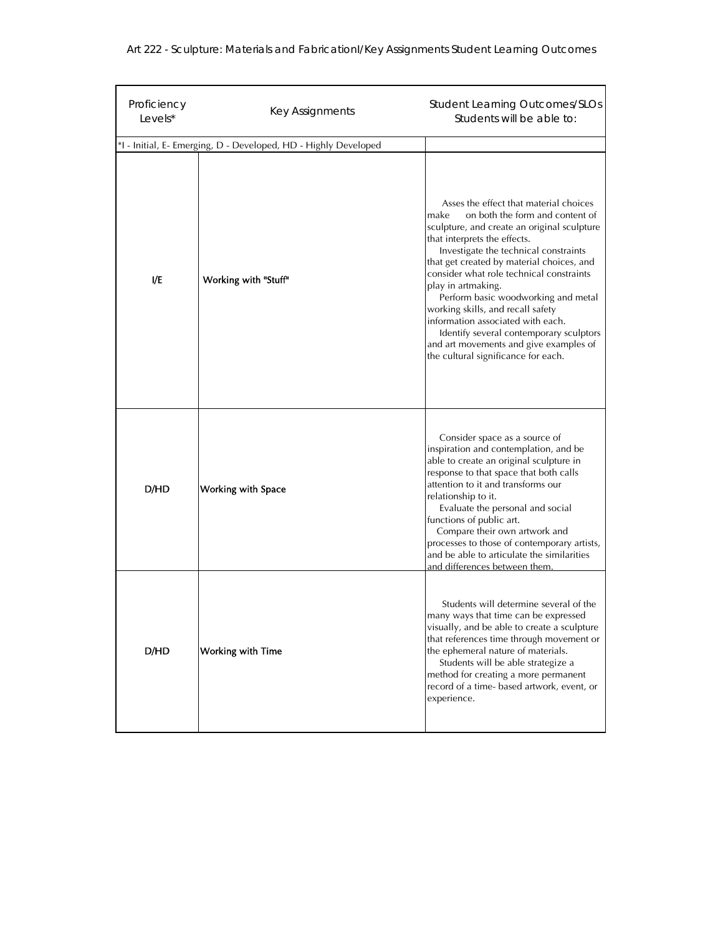|  |  |  | Art 222 - Sculpture: Materials and FabricationI/Key Assignments Student Learning Outcomes |
|--|--|--|-------------------------------------------------------------------------------------------|
|--|--|--|-------------------------------------------------------------------------------------------|

| Proficiency<br>Levels* | Key Assignments                                                 | <b>Student Learning Outcomes/SLOs</b><br>Students will be able to:                                                                                                                                                                                                                                                                                                                                                                                                                                                                                                    |
|------------------------|-----------------------------------------------------------------|-----------------------------------------------------------------------------------------------------------------------------------------------------------------------------------------------------------------------------------------------------------------------------------------------------------------------------------------------------------------------------------------------------------------------------------------------------------------------------------------------------------------------------------------------------------------------|
|                        | *I - Initial, E- Emerging, D - Developed, HD - Highly Developed |                                                                                                                                                                                                                                                                                                                                                                                                                                                                                                                                                                       |
| I/E                    | Working with "Stuff"                                            | Asses the effect that material choices<br>on both the form and content of<br>make<br>sculpture, and create an original sculpture<br>that interprets the effects.<br>Investigate the technical constraints<br>that get created by material choices, and<br>consider what role technical constraints<br>play in artmaking.<br>Perform basic woodworking and metal<br>working skills, and recall safety<br>information associated with each.<br>Identify several contemporary sculptors<br>and art movements and give examples of<br>the cultural significance for each. |
| D/HD                   | <b>Working with Space</b>                                       | Consider space as a source of<br>inspiration and contemplation, and be<br>able to create an original sculpture in<br>response to that space that both calls<br>attention to it and transforms our<br>relationship to it.<br>Evaluate the personal and social<br>functions of public art.<br>Compare their own artwork and<br>processes to those of contemporary artists,<br>and be able to articulate the similarities<br>and differences between them                                                                                                                |
| D/HD                   | <b>Working with Time</b>                                        | Students will determine several of the<br>many ways that time can be expressed<br>visually, and be able to create a sculpture<br>that references time through movement or<br>the ephemeral nature of materials.<br>Students will be able strategize a<br>method for creating a more permanent<br>record of a time- based artwork, event, or<br>experience.                                                                                                                                                                                                            |